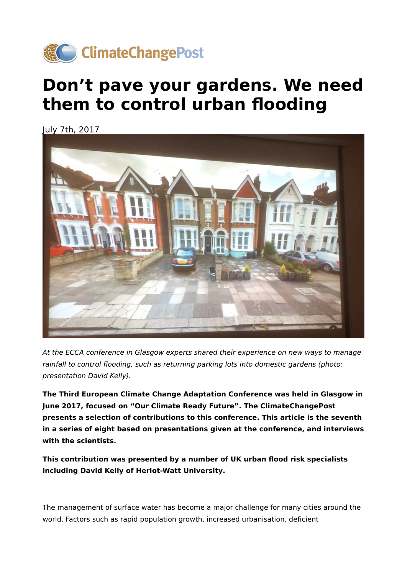

## **Don't pave your gardens. We need them to control urban flooding**

July 7th, 2017



At the ECCA conference in Glasgow experts shared their experience on new ways to manage rainfall to control flooding, such as returning parking lots into domestic gardens (photo: presentation David Kelly).

**The Third European Climate Change Adaptation Conference was held in Glasgow in June 2017, focused on "Our Climate Ready Future". The ClimateChangePost presents a selection of contributions to this conference. This article is the seventh in a series of eight based on presentations given at the conference, and interviews with the scientists.**

**This contribution was presented by a number of UK urban flood risk specialists including David Kelly of Heriot-Watt University.**

The management of surface water has become a major challenge for many cities around the world. Factors such as rapid population growth, increased urbanisation, deficient